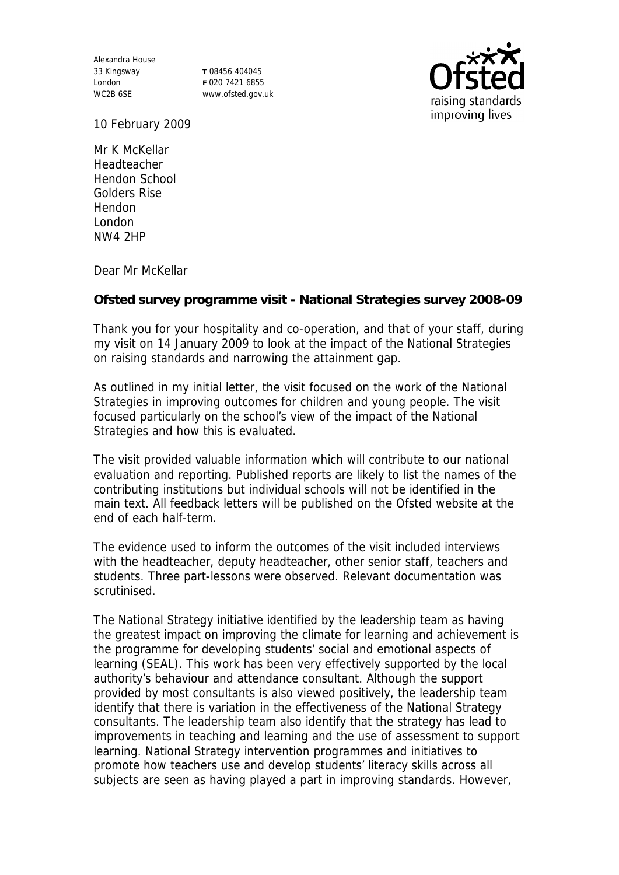Alexandra House 33 Kingsway London WC2B 6SE

**T** 08456 404045 **F** 020 7421 6855 www.ofsted.gov.uk



10 February 2009

Mr K McKellar Headteacher Hendon School Golders Rise Hendon London NW4 2HP

Dear Mr McKellar

**Ofsted survey programme visit - National Strategies survey 2008-09**

Thank you for your hospitality and co-operation, and that of your staff, during my visit on 14 January 2009 to look at the impact of the National Strategies on raising standards and narrowing the attainment gap.

As outlined in my initial letter, the visit focused on the work of the National Strategies in improving outcomes for children and young people. The visit focused particularly on the school's view of the impact of the National Strategies and how this is evaluated.

The visit provided valuable information which will contribute to our national evaluation and reporting. Published reports are likely to list the names of the contributing institutions but individual schools will not be identified in the main text. All feedback letters will be published on the Ofsted website at the end of each half-term.

The evidence used to inform the outcomes of the visit included interviews with the headteacher, deputy headteacher, other senior staff, teachers and students. Three part-lessons were observed. Relevant documentation was scrutinised.

The National Strategy initiative identified by the leadership team as having the greatest impact on improving the climate for learning and achievement is the programme for developing students' social and emotional aspects of learning (SEAL). This work has been very effectively supported by the local authority's behaviour and attendance consultant. Although the support provided by most consultants is also viewed positively, the leadership team identify that there is variation in the effectiveness of the National Strategy consultants. The leadership team also identify that the strategy has lead to improvements in teaching and learning and the use of assessment to support learning. National Strategy intervention programmes and initiatives to promote how teachers use and develop students' literacy skills across all subjects are seen as having played a part in improving standards. However,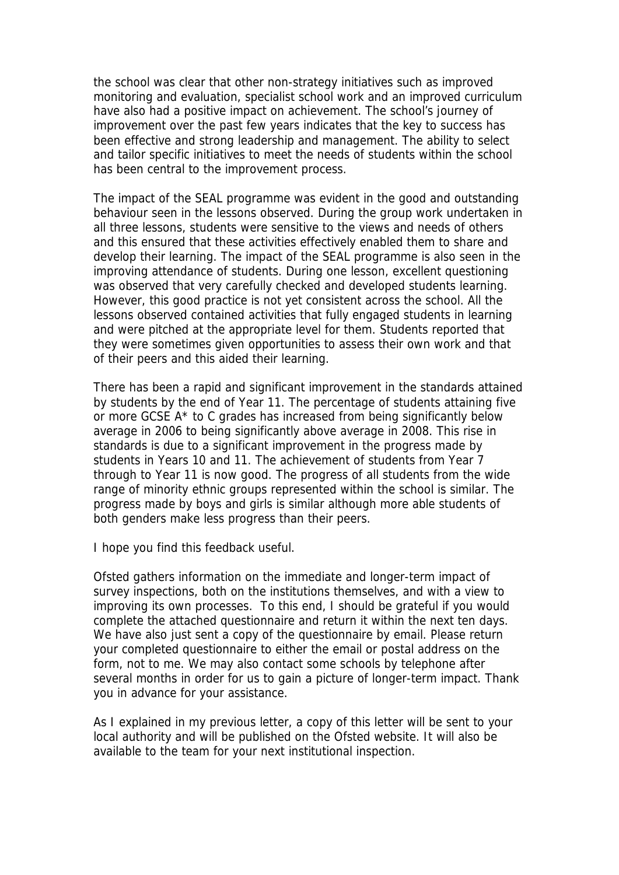the school was clear that other non-strategy initiatives such as improved monitoring and evaluation, specialist school work and an improved curriculum have also had a positive impact on achievement. The school's journey of improvement over the past few years indicates that the key to success has been effective and strong leadership and management. The ability to select and tailor specific initiatives to meet the needs of students within the school has been central to the improvement process.

The impact of the SEAL programme was evident in the good and outstanding behaviour seen in the lessons observed. During the group work undertaken in all three lessons, students were sensitive to the views and needs of others and this ensured that these activities effectively enabled them to share and develop their learning. The impact of the SEAL programme is also seen in the improving attendance of students. During one lesson, excellent questioning was observed that very carefully checked and developed students learning. However, this good practice is not yet consistent across the school. All the lessons observed contained activities that fully engaged students in learning and were pitched at the appropriate level for them. Students reported that they were sometimes given opportunities to assess their own work and that of their peers and this aided their learning.

There has been a rapid and significant improvement in the standards attained by students by the end of Year 11. The percentage of students attaining five or more GCSE A\* to C grades has increased from being significantly below average in 2006 to being significantly above average in 2008. This rise in standards is due to a significant improvement in the progress made by students in Years 10 and 11. The achievement of students from Year 7 through to Year 11 is now good. The progress of all students from the wide range of minority ethnic groups represented within the school is similar. The progress made by boys and girls is similar although more able students of both genders make less progress than their peers.

I hope you find this feedback useful.

Ofsted gathers information on the immediate and longer-term impact of survey inspections, both on the institutions themselves, and with a view to improving its own processes. To this end, I should be grateful if you would complete the attached questionnaire and return it within the next ten days. We have also just sent a copy of the questionnaire by email. Please return your completed questionnaire to either the email or postal address on the form, not to me. We may also contact some schools by telephone after several months in order for us to gain a picture of longer-term impact. Thank you in advance for your assistance.

As I explained in my previous letter, a copy of this letter will be sent to your local authority and will be published on the Ofsted website. It will also be available to the team for your next institutional inspection.